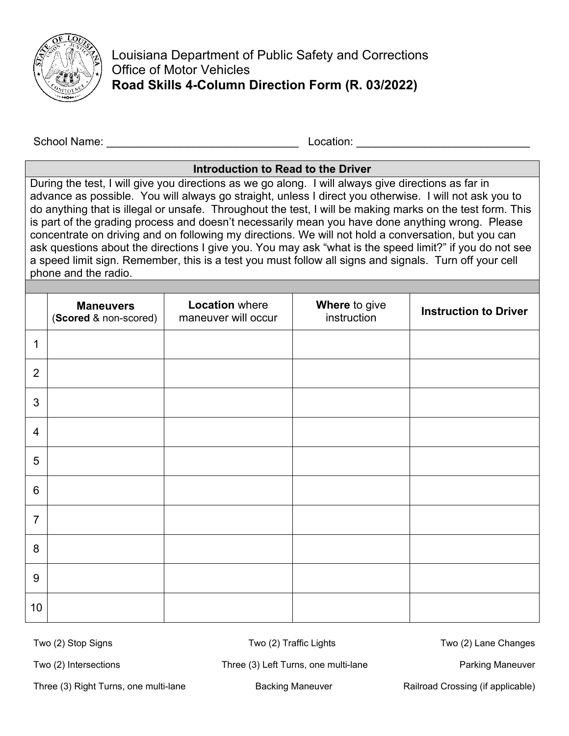

Louisiana Department of Public Safety and Corrections Office of Motor Vehicles **Road Skills 4-Column Direction Form (R. 03/2022)**

School Name: \_\_\_\_\_\_\_\_\_\_\_\_\_\_\_\_\_\_\_\_\_\_\_\_\_\_\_\_\_\_\_ Location: \_\_\_\_\_\_\_\_\_\_\_\_\_\_\_\_\_\_\_\_\_\_\_\_\_\_\_\_

## **Introduction to Read to the Driver**

During the test, I will give you directions as we go along. I will always give directions as far in advance as possible. You will always go straight, unless I direct you otherwise. I will not ask you to do anything that is illegal or unsafe. Throughout the test, I will be making marks on the test form. This is part of the grading process and doesn't necessarily mean you have done anything wrong. Please concentrate on driving and on following my directions. We will not hold a conversation, but you can ask questions about the directions I give you. You may ask "what is the speed limit?" if you do not see a speed limit sign. Remember, this is a test you must follow all signs and signals. Turn off your cell phone and the radio.

|                | <b>Maneuvers</b><br>(Scored & non-scored) | <b>Location where</b><br>maneuver will occur | Where to give<br>instruction | <b>Instruction to Driver</b> |
|----------------|-------------------------------------------|----------------------------------------------|------------------------------|------------------------------|
| 1              |                                           |                                              |                              |                              |
| $\overline{2}$ |                                           |                                              |                              |                              |
| $\mathfrak{S}$ |                                           |                                              |                              |                              |
| $\overline{4}$ |                                           |                                              |                              |                              |
| 5              |                                           |                                              |                              |                              |
| $6\phantom{1}$ |                                           |                                              |                              |                              |
| $\overline{7}$ |                                           |                                              |                              |                              |
| 8              |                                           |                                              |                              |                              |
| $9\,$          |                                           |                                              |                              |                              |
| 10             |                                           |                                              |                              |                              |

Two (2) Stop Signs Two (2) Traffic Lights Two (2) Lane Changes

Three (3) Right Turns, one multi-lane **Backing Maneuver** Railroad Crossing (if applicable)

Two (2) Intersections Three (3) Left Turns, one multi-lane Parking Maneuver